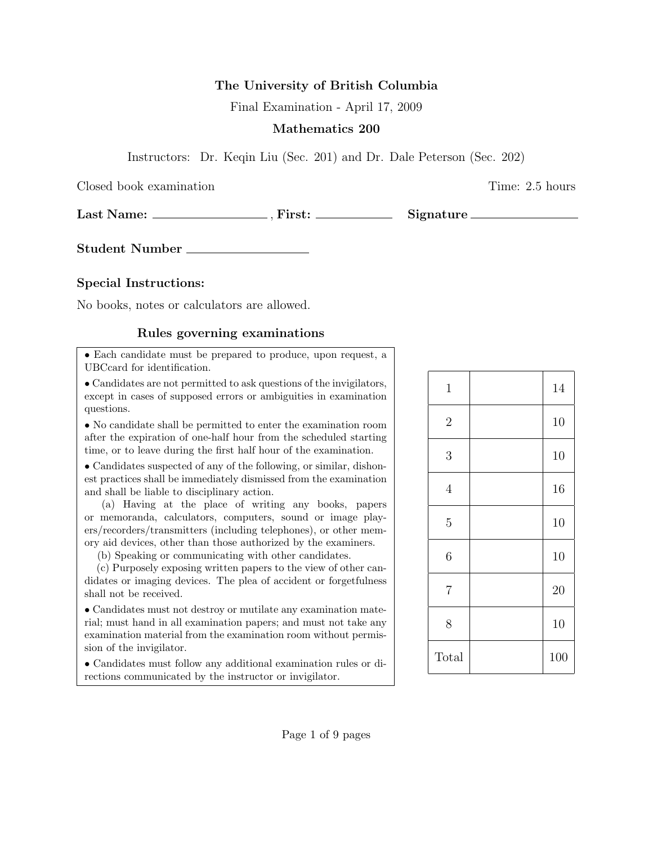## The University of British Columbia

Final Examination - April 17, 2009

## Mathematics 200

Instructors: Dr. Keqin Liu (Sec. 201) and Dr. Dale Peterson (Sec. 202)

Closed book examination Time: 2.5 hours

Last Name: , First: Signature

Student Number

## Special Instructions:

No books, notes or calculators are allowed.

## Rules governing examinations

• Each candidate must be prepared to produce, upon request, a UBCcard for identification.

• Candidates are not permitted to ask questions of the invigilators, except in cases of supposed errors or ambiguities in examination questions.

• No candidate shall be permitted to enter the examination room after the expiration of one-half hour from the scheduled starting time, or to leave during the first half hour of the examination.

• Candidates suspected of any of the following, or similar, dishonest practices shall be immediately dismissed from the examination and shall be liable to disciplinary action.

(a) Having at the place of writing any books, papers or memoranda, calculators, computers, sound or image players/recorders/transmitters (including telephones), or other memory aid devices, other than those authorized by the examiners.

(b) Speaking or communicating with other candidates.

(c) Purposely exposing written papers to the view of other candidates or imaging devices. The plea of accident or forgetfulness shall not be received.

• Candidates must not destroy or mutilate any examination material; must hand in all examination papers; and must not take any examination material from the examination room without permission of the invigilator.

• Candidates must follow any additional examination rules or directions communicated by the instructor or invigilator.

| $\mathbf{1}$   | 14  |
|----------------|-----|
| $\sqrt{2}$     | 10  |
| 3              | 10  |
| $\overline{4}$ | 16  |
| $\overline{5}$ | 10  |
| $\sqrt{6}$     | 10  |
| $\overline{7}$ | 20  |
| 8              | 10  |
| Total          | 100 |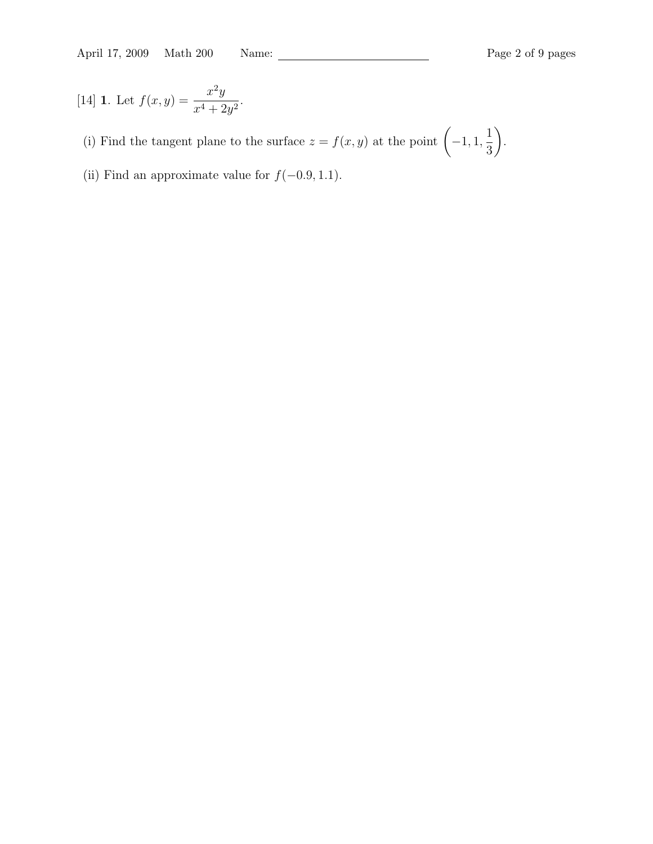[14] **1.** Let 
$$
f(x,y) = \frac{x^2y}{x^4 + 2y^2}
$$
.

(i) Find the tangent plane to the surface  $z = f(x, y)$  at the point  $\left(-1, 1, \frac{1}{2}\right)$ 3  $\setminus$ .

(ii) Find an approximate value for  $f(-0.9, 1.1)$ .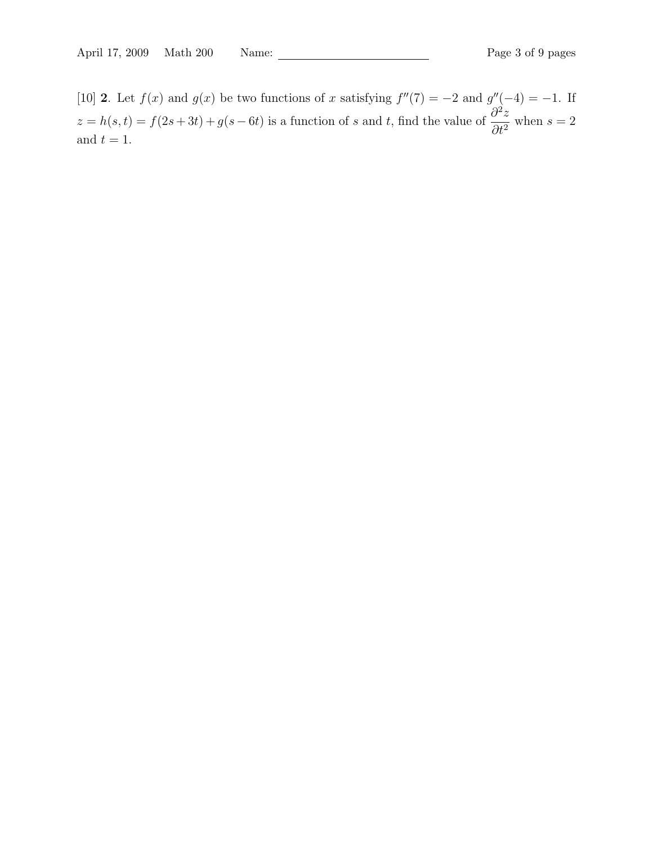[10] 2. Let  $f(x)$  and  $g(x)$  be two functions of x satisfying  $f''(7) = -2$  and  $g''(-4) = -1$ . If  $z = h(s, t) = f(2s + 3t) + g(s - 6t)$  is a function of s and t, find the value of  $\frac{\partial^2 z}{\partial t^2}$  $rac{\partial^2 z}{\partial t^2}$  when  $s = 2$ and  $t = 1$ .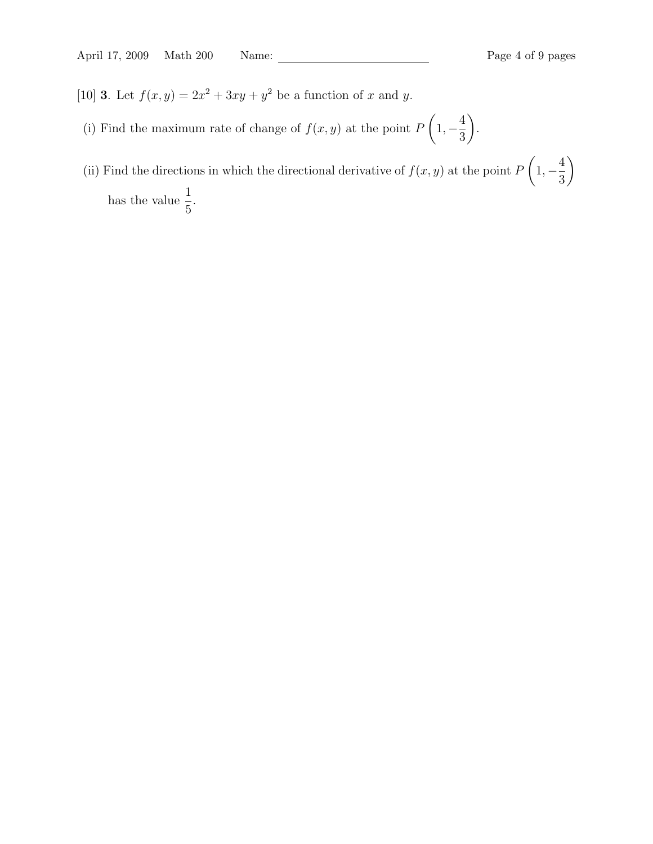- [10] **3**. Let  $f(x, y) = 2x^2 + 3xy + y^2$  be a function of x and y.
- (i) Find the maximum rate of change of  $f(x, y)$  at the point P  $\sqrt{ }$  $1, -\frac{4}{5}$ 3  $\setminus$ .
- (ii) Find the directions in which the directional derivative of  $f(x, y)$  at the point P  $\sqrt{ }$  $1, -\frac{4}{5}$ 3  $\setminus$ has the value  $\frac{1}{5}$ 5 .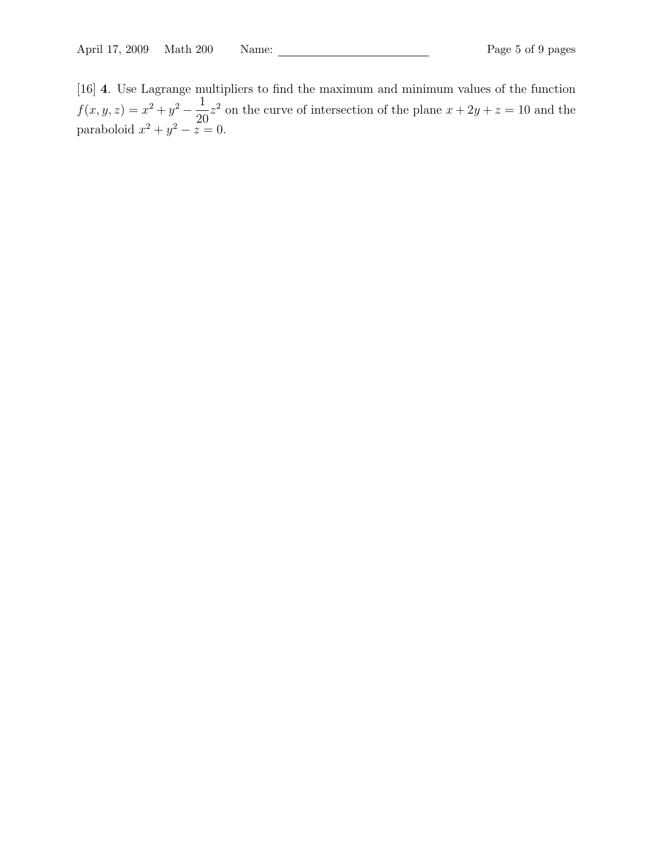[16] 4. Use Lagrange multipliers to find the maximum and minimum values of the function  $f(x, y, z) = x^2 + y^2 - \frac{1}{29}$ 20  $z<sup>2</sup>$  on the curve of intersection of the plane  $x + 2y + z = 10$  and the paraboloid  $x^2 + y^2 - z = 0$ .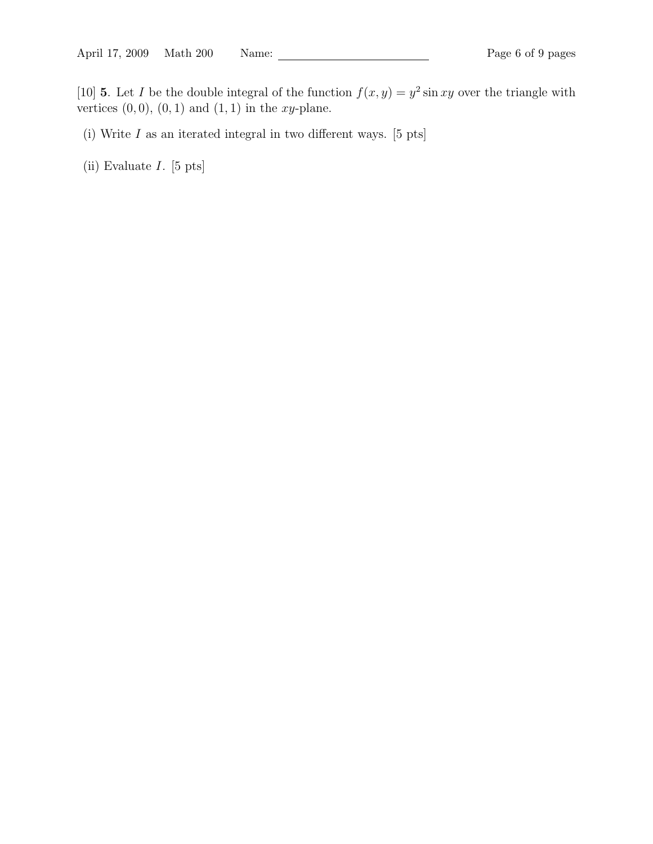[10] **5**. Let *I* be the double integral of the function  $f(x, y) = y^2 \sin xy$  over the triangle with vertices  $(0, 0)$ ,  $(0, 1)$  and  $(1, 1)$  in the xy-plane.

- (i) Write  $I$  as an iterated integral in two different ways. [5 pts]
- (ii) Evaluate I. [5 pts]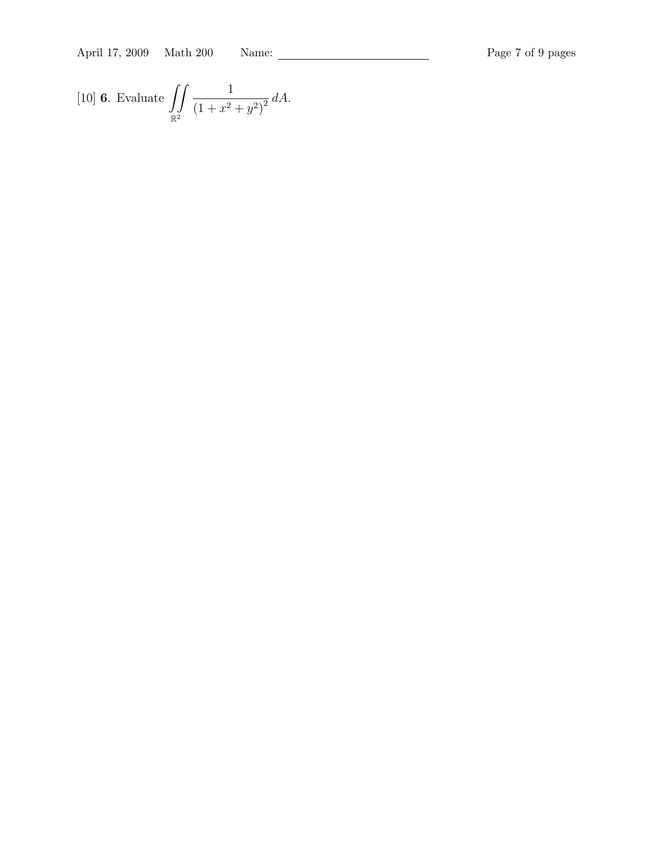April 17, 2009 Math 200 Name: Page 7 of 9 pages

[10] **6.** Evaluate 
$$
\iint_{\mathbb{R}^2} \frac{1}{(1+x^2+y^2)^2} dA.
$$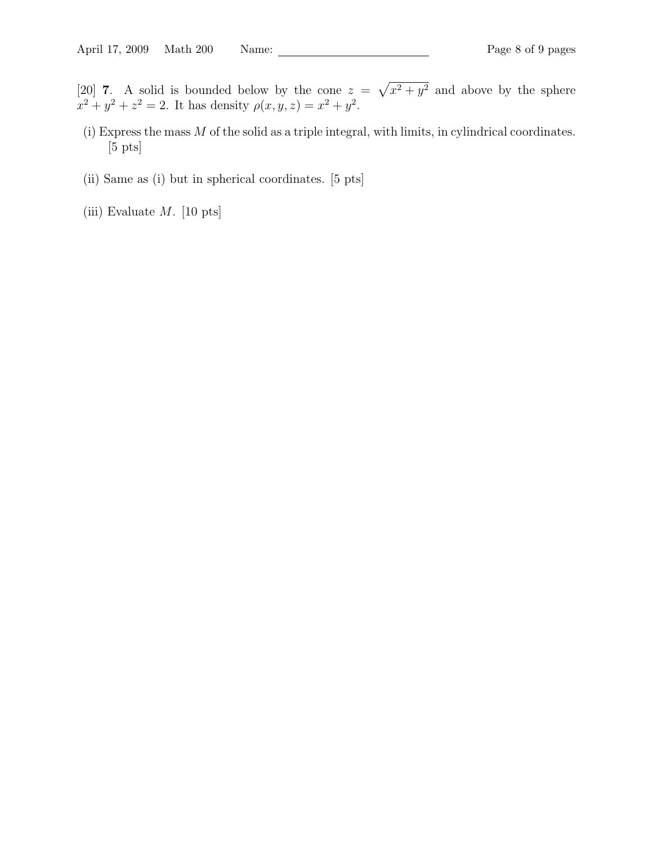[20] **7**. A solid is bounded below by the cone  $z = \sqrt{x^2 + y^2}$  and above by the sphere  $x^2 + y^2 + z^2 = 2$ . It has density  $\rho(x, y, z) = x^2 + y^2$ .

- (i) Express the mass M of the solid as a triple integral, with limits, in cylindrical coordinates. [5 pts]
- (ii) Same as (i) but in spherical coordinates. [5 pts]
- (iii) Evaluate  $M$ . [10 pts]